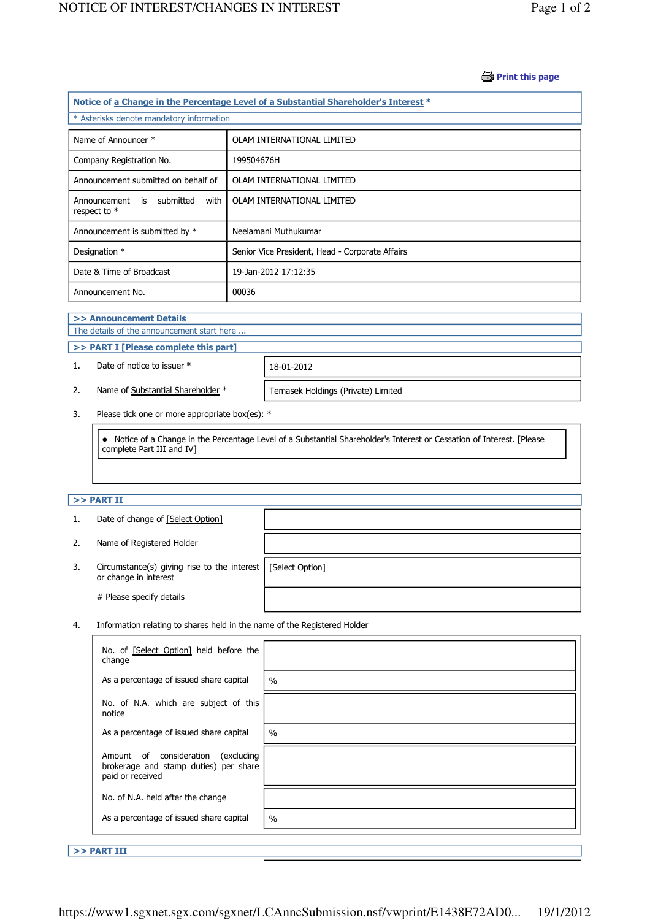#### **Print this page**

| Notice of a Change in the Percentage Level of a Substantial Shareholder's Interest * |                                                 |  |  |  |
|--------------------------------------------------------------------------------------|-------------------------------------------------|--|--|--|
| * Asterisks denote mandatory information                                             |                                                 |  |  |  |
|                                                                                      |                                                 |  |  |  |
| Name of Announcer *                                                                  | OLAM INTERNATIONAL LIMITED                      |  |  |  |
| Company Registration No.                                                             | 199504676H                                      |  |  |  |
| Announcement submitted on behalf of                                                  | OLAM INTERNATIONAL LIMITED                      |  |  |  |
| Announcement is submitted<br>with<br>respect to $*$                                  | OLAM INTERNATIONAL LIMITED                      |  |  |  |
| Announcement is submitted by *                                                       | Neelamani Muthukumar                            |  |  |  |
| Designation *                                                                        | Senior Vice President, Head - Corporate Affairs |  |  |  |
| Date & Time of Broadcast                                                             | 19-Jan-2012 17:12:35                            |  |  |  |
| Announcement No.                                                                     | 00036                                           |  |  |  |

#### >> Announcement Details

J

J

The details of the announcement start here ...

### >> PART I [Please complete this part]

1. Date of notice to issuer \* 18-01-2012

2. Name of Substantial Shareholder \* Temasek Holdings (Private) Limited

3. Please tick one or more appropriate box(es): \*

 Notice of a Change in the Percentage Level of a Substantial Shareholder's Interest or Cessation of Interest. [Please complete Part III and IV]

## $>>$  PART II

|    | Date of change of [Select Option]                                                      |  |
|----|----------------------------------------------------------------------------------------|--|
| 2. | Name of Registered Holder                                                              |  |
| 3. | Circumstance(s) giving rise to the interest   [Select Option]<br>or change in interest |  |
|    | # Please specify details                                                               |  |

4. Information relating to shares held in the name of the Registered Holder

| No. of [Select Option] held before the<br>change                                                   |               |
|----------------------------------------------------------------------------------------------------|---------------|
| As a percentage of issued share capital                                                            | $\frac{0}{0}$ |
| No. of N.A. which are subject of this<br>notice                                                    |               |
| As a percentage of issued share capital                                                            | $\frac{0}{0}$ |
| Amount of consideration<br>(excluding<br>brokerage and stamp duties) per share<br>paid or received |               |
| No. of N.A. held after the change                                                                  |               |
| As a percentage of issued share capital                                                            | $\%$          |

>> PART III